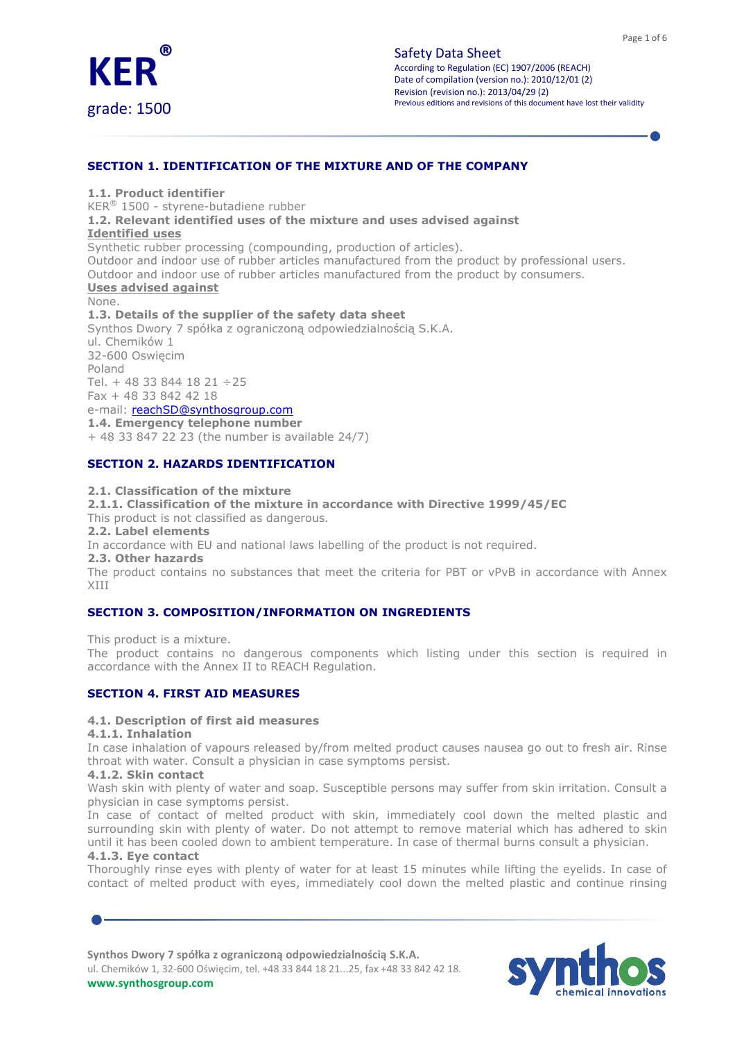

SECTION 1. IDENTIFICATION OF THE MIXTURE AND OF THE COMPANY

1.1. Product identifier

KER® 1500 - styrene-butadiene rubber

1.2. Relevant identified uses of the mixture and uses advised against

### Identified uses

Synthetic rubber processing (compounding, production of articles).

Outdoor and indoor use of rubber articles manufactured from the product by professional users. Outdoor and indoor use of rubber articles manufactured from the product by consumers.

# Uses advised against

None. 1.3. Details of the supplier of the safety data sheet Synthos Dwory 7 spółka z ograniczoną odpowiedzialnością S.K.A. ul. Chemików 1 32-600 Oswięcim Poland Tel. + 48 33 844 18 21 ÷ 25 Fax + 48 33 842 42 18 e-mail: reachSD@synthosgroup.com 1.4. Emergency telephone number + 48 33 847 22 23 (the number is available 24/7)

SECTION 2. HAZARDS IDENTIFICATION

### 2.1. Classification of the mixture

### 2.1.1. Classification of the mixture in accordance with Directive 1999/45/EC

This product is not classified as dangerous.

2.2. Label elements

In accordance with EU and national laws labelling of the product is not required.

2.3. Other hazards

The product contains no substances that meet the criteria for PBT or vPvB in accordance with Annex XIII

## SECTION 3. COMPOSITION/INFORMATION ON INGREDIENTS

This product is a mixture.

The product contains no dangerous components which listing under this section is required in accordance with the Annex II to REACH Regulation.

## SECTION 4. FIRST AID MEASURES

## 4.1. Description of first aid measures

4.1.1. Inhalation

In case inhalation of vapours released by/from melted product causes nausea go out to fresh air. Rinse throat with water. Consult a physician in case symptoms persist.

### 4.1.2. Skin contact

Wash skin with plenty of water and soap. Susceptible persons may suffer from skin irritation. Consult a physician in case symptoms persist.

In case of contact of melted product with skin, immediately cool down the melted plastic and surrounding skin with plenty of water. Do not attempt to remove material which has adhered to skin until it has been cooled down to ambient temperature. In case of thermal burns consult a physician.

## 4.1.3. Eye contact

Thoroughly rinse eyes with plenty of water for at least 15 minutes while lifting the eyelids. In case of contact of melted product with eyes, immediately cool down the melted plastic and continue rinsing

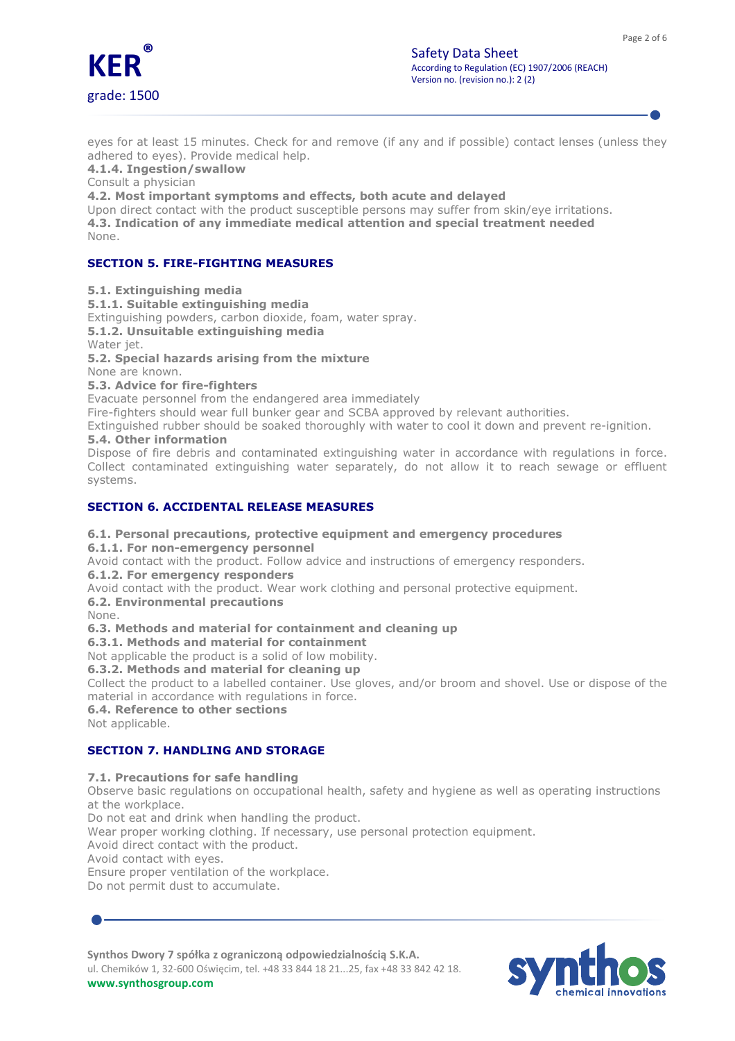

eyes for at least 15 minutes. Check for and remove (if any and if possible) contact lenses (unless they adhered to eyes). Provide medical help.

4.1.4. Ingestion/swallow

Consult a physician

4.2. Most important symptoms and effects, both acute and delayed

Upon direct contact with the product susceptible persons may suffer from skin/eye irritations. 4.3. Indication of any immediate medical attention and special treatment needed None.

# SECTION 5. FIRE-FIGHTING MEASURES

5.1. Extinguishing media

5.1.1. Suitable extinguishing media

Extinguishing powders, carbon dioxide, foam, water spray.

5.1.2. Unsuitable extinguishing media Water *iet*.

5.2. Special hazards arising from the mixture

None are known.

# 5.3. Advice for fire-fighters

Evacuate personnel from the endangered area immediately

Fire-fighters should wear full bunker gear and SCBA approved by relevant authorities.

Extinguished rubber should be soaked thoroughly with water to cool it down and prevent re-ignition.

## 5.4. Other information

Dispose of fire debris and contaminated extinguishing water in accordance with regulations in force. Collect contaminated extinguishing water separately, do not allow it to reach sewage or effluent systems.

# SECTION 6. ACCIDENTAL RELEASE MEASURES

## 6.1. Personal precautions, protective equipment and emergency procedures

6.1.1. For non-emergency personnel

Avoid contact with the product. Follow advice and instructions of emergency responders.

6.1.2. For emergency responders

Avoid contact with the product. Wear work clothing and personal protective equipment.

6.2. Environmental precautions None.

# 6.3. Methods and material for containment and cleaning up

6.3.1. Methods and material for containment

Not applicable the product is a solid of low mobility.

## 6.3.2. Methods and material for cleaning up

Collect the product to a labelled container. Use gloves, and/or broom and shovel. Use or dispose of the material in accordance with regulations in force.

6.4. Reference to other sections

Not applicable.

# SECTION 7. HANDLING AND STORAGE

## 7.1. Precautions for safe handling

Observe basic regulations on occupational health, safety and hygiene as well as operating instructions at the workplace.

Do not eat and drink when handling the product.

Wear proper working clothing. If necessary, use personal protection equipment.

Avoid direct contact with the product.

Avoid contact with eyes.

Ensure proper ventilation of the workplace.

Do not permit dust to accumulate.

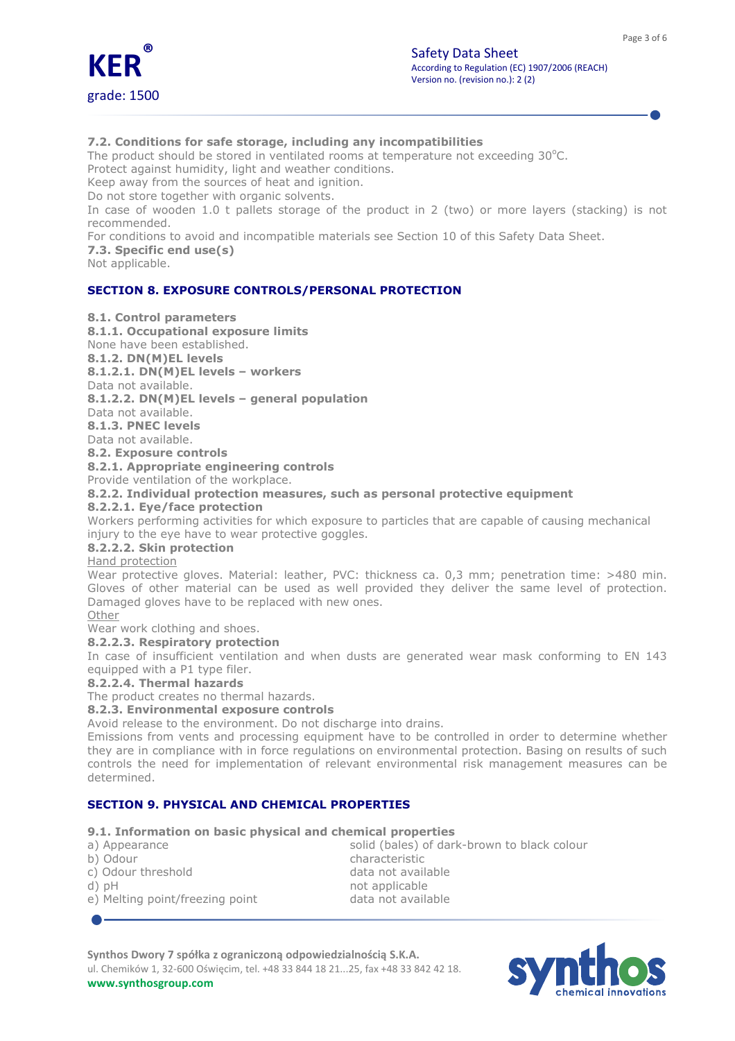

# 7.2. Conditions for safe storage, including any incompatibilities

The product should be stored in ventilated rooms at temperature not exceeding  $30^{\circ}$ C.

Protect against humidity, light and weather conditions.

Keep away from the sources of heat and ignition.

Do not store together with organic solvents.

In case of wooden 1.0 t pallets storage of the product in 2 (two) or more layers (stacking) is not recommended.

For conditions to avoid and incompatible materials see Section 10 of this Safety Data Sheet.

7.3. Specific end use(s)

Not applicable.

# SECTION 8. EXPOSURE CONTROLS/PERSONAL PROTECTION

### 8.1. Control parameters

8.1.1. Occupational exposure limits None have been established. 8.1.2. DN(M)EL levels 8.1.2.1. DN(M)EL levels – workers Data not available. 8.1.2.2. DN(M)EL levels – general population Data not available. 8.1.3. PNEC levels Data not available. 8.2. Exposure controls 8.2.1. Appropriate engineering controls

Provide ventilation of the workplace.

```
8.2.2. Individual protection measures, such as personal protective equipment
```
## 8.2.2.1. Eye/face protection

Workers performing activities for which exposure to particles that are capable of causing mechanical injury to the eye have to wear protective goggles.

### 8.2.2.2. Skin protection

Hand protection

Wear protective gloves. Material: leather, PVC: thickness ca. 0,3 mm; penetration time: >480 min. Gloves of other material can be used as well provided they deliver the same level of protection. Damaged gloves have to be replaced with new ones.

Other

# Wear work clothing and shoes.

8.2.2.3. Respiratory protection

In case of insufficient ventilation and when dusts are generated wear mask conforming to EN 143 equipped with a P1 type filer.

## 8.2.2.4. Thermal hazards

The product creates no thermal hazards.

## 8.2.3. Environmental exposure controls

Avoid release to the environment. Do not discharge into drains.

Emissions from vents and processing equipment have to be controlled in order to determine whether they are in compliance with in force regulations on environmental protection. Basing on results of such controls the need for implementation of relevant environmental risk management measures can be determined.

# SECTION 9. PHYSICAL AND CHEMICAL PROPERTIES

## 9.1. Information on basic physical and chemical properties

| a) Appearance                   | solid (bales) of dark-brown to black colour |
|---------------------------------|---------------------------------------------|
| b) Odour                        | characteristic                              |
| c) Odour threshold              | data not available                          |
| $d$ ) $pH$                      | not applicable                              |
| e) Melting point/freezing point | data not available                          |
|                                 |                                             |

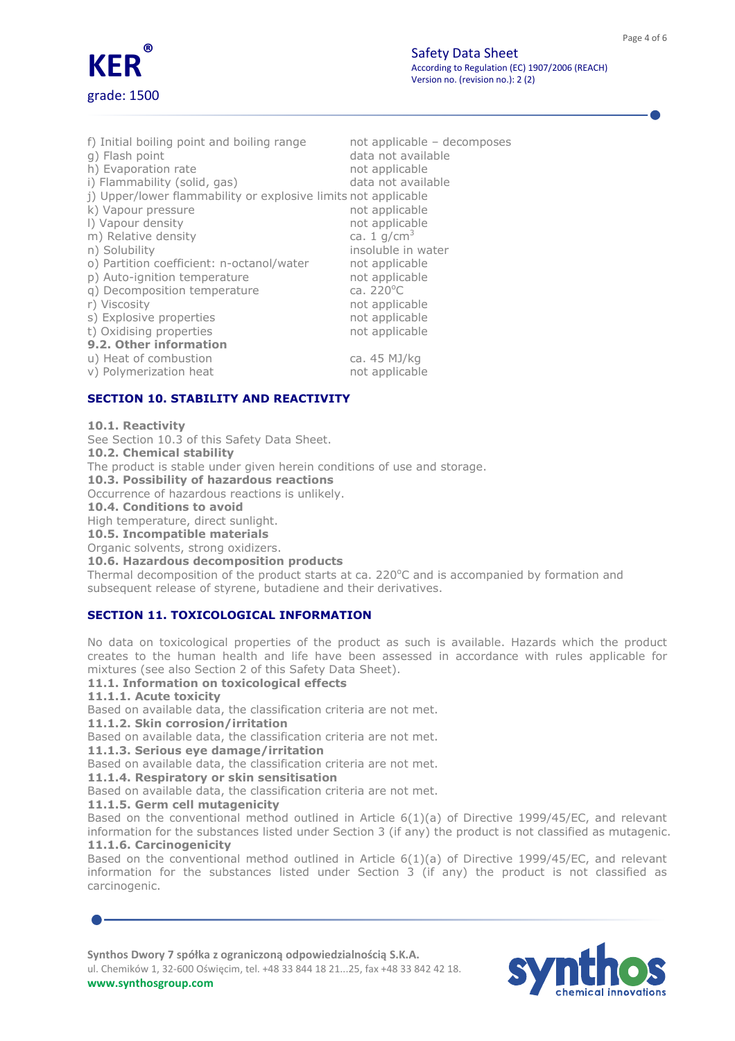

| f) Initial boiling point and boiling range                     | not applicable - decomposes |
|----------------------------------------------------------------|-----------------------------|
| q) Flash point                                                 | data not available          |
| h) Evaporation rate                                            | not applicable              |
| i) Flammability (solid, gas)                                   | data not available          |
| j) Upper/lower flammability or explosive limits not applicable |                             |
| k) Vapour pressure                                             | not applicable              |
| I) Vapour density                                              | not applicable              |
| m) Relative density                                            | ca. 1 $q/cm^3$              |
| n) Solubility                                                  | insoluble in water          |
| o) Partition coefficient: n-octanol/water                      | not applicable              |
| p) Auto-ignition temperature                                   | not applicable              |
| g) Decomposition temperature                                   | ca. $220^{\circ}$ C         |
| r) Viscosity                                                   | not applicable              |
| s) Explosive properties                                        | not applicable              |
| t) Oxidising properties                                        | not applicable              |
| 9.2. Other information                                         |                             |
| u) Heat of combustion                                          | ca. 45 MJ/kg                |
| v) Polymerization heat                                         | not applicable              |

# SECTION 10. STABILITY AND REACTIVITY

#### 10.1. Reactivity

See Section 10.3 of this Safety Data Sheet.

10.2. Chemical stability

The product is stable under given herein conditions of use and storage.

10.3. Possibility of hazardous reactions

Occurrence of hazardous reactions is unlikely.

10.4. Conditions to avoid

High temperature, direct sunlight.

10.5. Incompatible materials

Organic solvents, strong oxidizers.

10.6. Hazardous decomposition products

Thermal decomposition of the product starts at ca. 220 $^{\circ}$ C and is accompanied by formation and subsequent release of styrene, butadiene and their derivatives.

## SECTION 11. TOXICOLOGICAL INFORMATION

No data on toxicological properties of the product as such is available. Hazards which the product creates to the human health and life have been assessed in accordance with rules applicable for mixtures (see also Section 2 of this Safety Data Sheet).

### 11.1. Information on toxicological effects

11.1.1. Acute toxicity

Based on available data, the classification criteria are not met.

11.1.2. Skin corrosion/irritation

Based on available data, the classification criteria are not met.

11.1.3. Serious eye damage/irritation

Based on available data, the classification criteria are not met.

11.1.4. Respiratory or skin sensitisation

Based on available data, the classification criteria are not met.

### 11.1.5. Germ cell mutagenicity

Based on the conventional method outlined in Article 6(1)(a) of Directive 1999/45/EC, and relevant information for the substances listed under Section 3 (if any) the product is not classified as mutagenic. 11.1.6. Carcinogenicity

Based on the conventional method outlined in Article 6(1)(a) of Directive 1999/45/EC, and relevant information for the substances listed under Section 3 (if any) the product is not classified as carcinogenic.

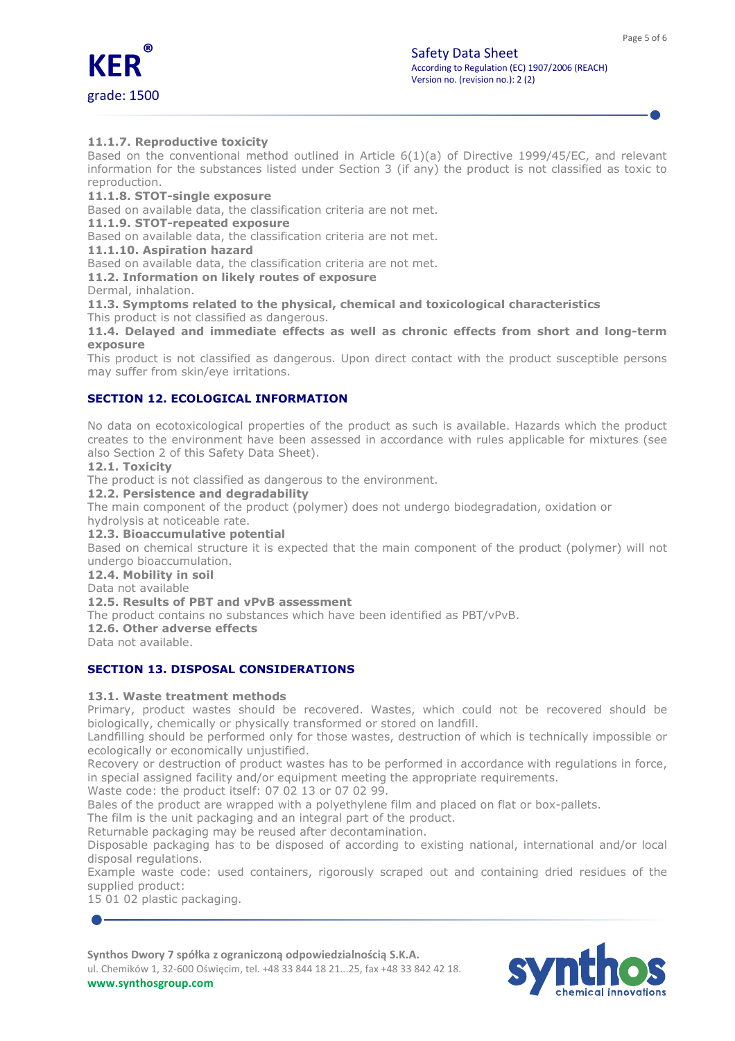

## 11.1.7. Reproductive toxicity

Based on the conventional method outlined in Article  $6(1)(a)$  of Directive 1999/45/EC, and relevant information for the substances listed under Section 3 (if any) the product is not classified as toxic to reproduction.

11.1.8. STOT-single exposure

Based on available data, the classification criteria are not met.

11.1.9. STOT-repeated exposure

Based on available data, the classification criteria are not met.

11.1.10. Aspiration hazard

Based on available data, the classification criteria are not met.

11.2. Information on likely routes of exposure

Dermal, inhalation.

11.3. Symptoms related to the physical, chemical and toxicological characteristics This product is not classified as dangerous.

11.4. Delayed and immediate effects as well as chronic effects from short and long-term exposure

This product is not classified as dangerous. Upon direct contact with the product susceptible persons may suffer from skin/eye irritations.

# SECTION 12. ECOLOGICAL INFORMATION

No data on ecotoxicological properties of the product as such is available. Hazards which the product creates to the environment have been assessed in accordance with rules applicable for mixtures (see also Section 2 of this Safety Data Sheet).

12.1. Toxicity

The product is not classified as dangerous to the environment.

12.2. Persistence and degradability

The main component of the product (polymer) does not undergo biodegradation, oxidation or

hydrolysis at noticeable rate.

12.3. Bioaccumulative potential

Based on chemical structure it is expected that the main component of the product (polymer) will not undergo bioaccumulation.

12.4. Mobility in soil

Data not available

## 12.5. Results of PBT and vPvB assessment

The product contains no substances which have been identified as PBT/vPvB.

12.6. Other adverse effects

Data not available.

## SECTION 13. DISPOSAL CONSIDERATIONS

## 13.1. Waste treatment methods

Primary, product wastes should be recovered. Wastes, which could not be recovered should be biologically, chemically or physically transformed or stored on landfill.

Landfilling should be performed only for those wastes, destruction of which is technically impossible or ecologically or economically unjustified.

Recovery or destruction of product wastes has to be performed in accordance with regulations in force, in special assigned facility and/or equipment meeting the appropriate requirements.

Waste code: the product itself: 07 02 13 or 07 02 99.

Bales of the product are wrapped with a polyethylene film and placed on flat or box-pallets.

The film is the unit packaging and an integral part of the product.

Returnable packaging may be reused after decontamination.

Disposable packaging has to be disposed of according to existing national, international and/or local disposal regulations.

Example waste code: used containers, rigorously scraped out and containing dried residues of the supplied product:

15 01 02 plastic packaging.

Synthos Dwory 7 spółka z ograniczoną odpowiedzialnością S.K.A.

ul. Chemików 1, 32-600 Oświęcim, tel. +48 33 844 18 21...25, fax +48 33 842 42 18. www.synthosgroup.com